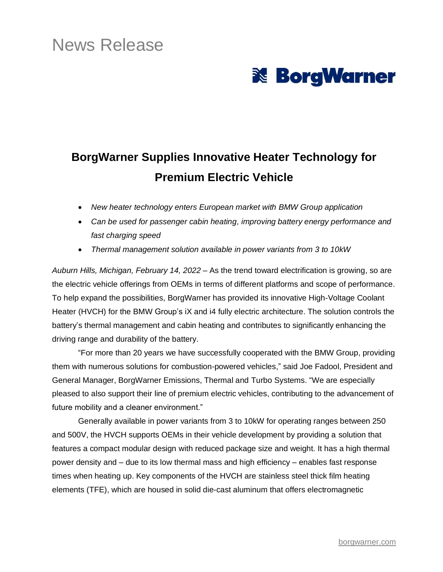# News Release



## **BorgWarner Supplies Innovative Heater Technology for Premium Electric Vehicle**

- *New heater technology enters European market with BMW Group application*
- *Can be used for passenger cabin heating, improving battery energy performance and fast charging speed*
- *Thermal management solution available in power variants from 3 to 10kW*

*Auburn Hills, Michigan, February 14, 2022* – As the trend toward electrification is growing, so are the electric vehicle offerings from OEMs in terms of different platforms and scope of performance. To help expand the possibilities, BorgWarner has provided its innovative High-Voltage Coolant Heater (HVCH) for the BMW Group's iX and i4 fully electric architecture. The solution controls the battery's thermal management and cabin heating and contributes to significantly enhancing the driving range and durability of the battery.

"For more than 20 years we have successfully cooperated with the BMW Group, providing them with numerous solutions for combustion-powered vehicles," said Joe Fadool, President and General Manager, BorgWarner Emissions, Thermal and Turbo Systems. "We are especially pleased to also support their line of premium electric vehicles, contributing to the advancement of future mobility and a cleaner environment."

Generally available in power variants from 3 to 10kW for operating ranges between 250 and 500V, the HVCH supports OEMs in their vehicle development by providing a solution that features a compact modular design with reduced package size and weight. It has a high thermal power density and – due to its low thermal mass and high efficiency – enables fast response times when heating up. Key components of the HVCH are stainless steel thick film heating elements (TFE), which are housed in solid die-cast aluminum that offers electromagnetic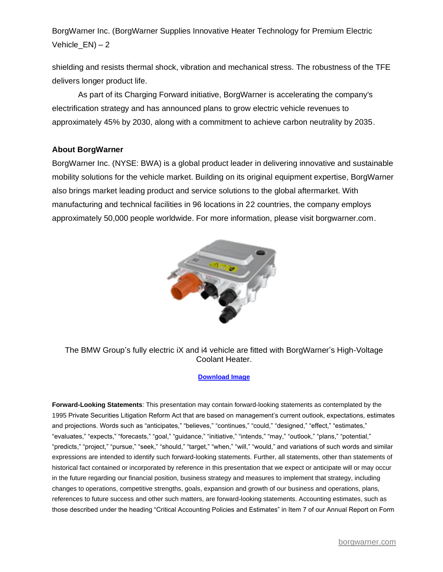BorgWarner Inc. (BorgWarner Supplies Innovative Heater Technology for Premium Electric Vehicle  $EN$ ) – 2

shielding and resists thermal shock, vibration and mechanical stress. The robustness of the TFE delivers longer product life.

As part of its Charging Forward initiative, BorgWarner is accelerating the company's electrification strategy and has announced plans to grow electric vehicle revenues to approximately 45% by 2030, along with a commitment to achieve carbon neutrality by 2035.

#### **About BorgWarner**

BorgWarner Inc. (NYSE: BWA) is a global product leader in delivering innovative and sustainable mobility solutions for the vehicle market. Building on its original equipment expertise, BorgWarner also brings market leading product and service solutions to the global aftermarket. With manufacturing and technical facilities in 96 locations in 22 countries, the company employs approximately 50,000 people worldwide. For more information, please visit borgwarner.com.



The BMW Group's fully electric iX and i4 vehicle are fitted with BorgWarner's High-Voltage Coolant Heater.

#### **[Download Image](https://www.borgwarner.com/images/default-source/news-media/press-release-hi-res/high-voltage-coolant-heater.jpg)**

**Forward-Looking Statements**: This presentation may contain forward-looking statements as contemplated by the 1995 Private Securities Litigation Reform Act that are based on management's current outlook, expectations, estimates and projections. Words such as "anticipates," "believes," "continues," "could," "designed," "effect," "estimates," "evaluates," "expects," "forecasts," "goal," "guidance," "initiative," "intends," "may," "outlook," "plans," "potential," "predicts," "project," "pursue," "seek," "should," "target," "when," "will," "would," and variations of such words and similar expressions are intended to identify such forward-looking statements. Further, all statements, other than statements of historical fact contained or incorporated by reference in this presentation that we expect or anticipate will or may occur in the future regarding our financial position, business strategy and measures to implement that strategy, including changes to operations, competitive strengths, goals, expansion and growth of our business and operations, plans, references to future success and other such matters, are forward-looking statements. Accounting estimates, such as those described under the heading "Critical Accounting Policies and Estimates" in Item 7 of our Annual Report on Form